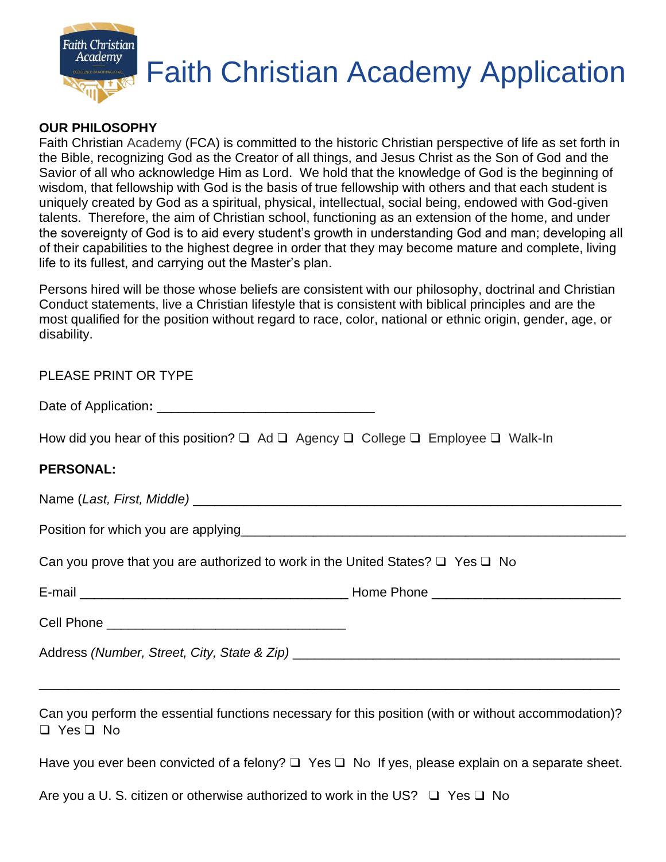

#### **OUR PHILOSOPHY**

Faith Christian Academy (FCA) is committed to the historic Christian perspective of life as set forth in the Bible, recognizing God as the Creator of all things, and Jesus Christ as the Son of God and the Savior of all who acknowledge Him as Lord. We hold that the knowledge of God is the beginning of wisdom, that fellowship with God is the basis of true fellowship with others and that each student is uniquely created by God as a spiritual, physical, intellectual, social being, endowed with God-given talents. Therefore, the aim of Christian school, functioning as an extension of the home, and under the sovereignty of God is to aid every student's growth in understanding God and man; developing all of their capabilities to the highest degree in order that they may become mature and complete, living life to its fullest, and carrying out the Master's plan.

Persons hired will be those whose beliefs are consistent with our philosophy, doctrinal and Christian Conduct statements, live a Christian lifestyle that is consistent with biblical principles and are the most qualified for the position without regard to race, color, national or ethnic origin, gender, age, or disability.

| PLEASE PRINT OR TYPE                                                                                                         |
|------------------------------------------------------------------------------------------------------------------------------|
|                                                                                                                              |
| How did you hear of this position? $\Box$ Ad $\Box$ Agency $\Box$ College $\Box$ Employee $\Box$ Walk-In                     |
| <b>PERSONAL:</b>                                                                                                             |
|                                                                                                                              |
|                                                                                                                              |
| Can you prove that you are authorized to work in the United States? $\Box$ Yes $\Box$ No                                     |
|                                                                                                                              |
|                                                                                                                              |
|                                                                                                                              |
| <u> 1989 - Johann John Stoff, deutscher Stoff als der Stoff als der Stoff als der Stoff als der Stoff als der Stoff</u>      |
| Can you perform the essential functions necessary for this position (with or without accommodation)?<br>$\Box$ Yes $\Box$ No |
| Have you ever been convicted of a felony? $\Box$ Yes $\Box$ No If yes, please explain on a separate sheet.                   |
| Are you a U. S. citizen or otherwise authorized to work in the US? $\Box$ Yes $\Box$ No                                      |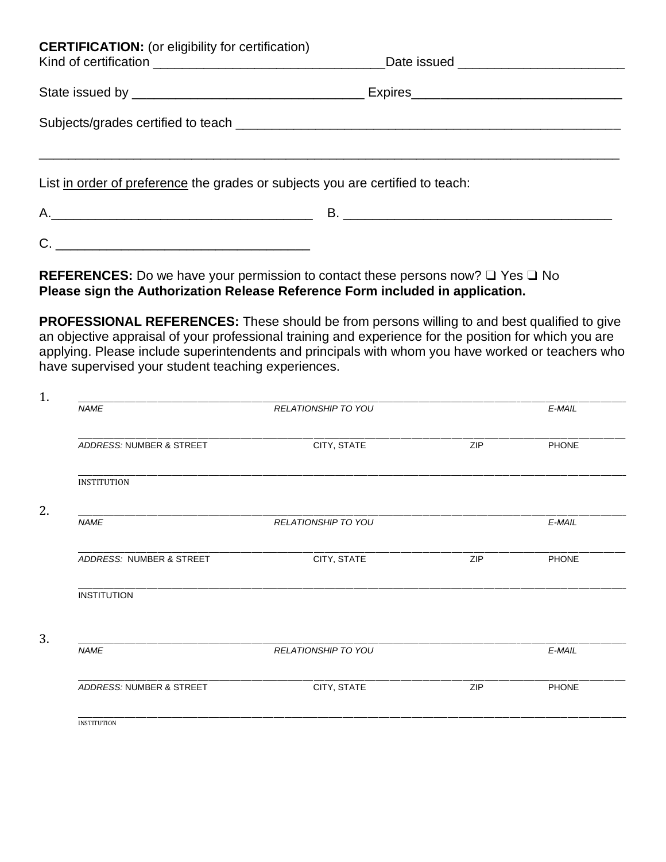| <b>CERTIFICATION:</b> (or eligibility for certification)                                                                                                                                                                                                                                                                                                                                                                                                   | Date issued _______________________________ |
|------------------------------------------------------------------------------------------------------------------------------------------------------------------------------------------------------------------------------------------------------------------------------------------------------------------------------------------------------------------------------------------------------------------------------------------------------------|---------------------------------------------|
|                                                                                                                                                                                                                                                                                                                                                                                                                                                            |                                             |
|                                                                                                                                                                                                                                                                                                                                                                                                                                                            |                                             |
| List in order of preference the grades or subjects you are certified to teach:                                                                                                                                                                                                                                                                                                                                                                             |                                             |
|                                                                                                                                                                                                                                                                                                                                                                                                                                                            |                                             |
| $C. \begin{tabular}{ c c c c } \hline \rule{0.3cm}{.03cm} & \rule{0.3cm}{.03cm} \multicolumn{3}{c}{} & \multicolumn{3}{c}{} & \multicolumn{3}{c}{} & \multicolumn{3}{c}{} & \multicolumn{3}{c}{} & \multicolumn{3}{c}{} & \multicolumn{3}{c}{} & \multicolumn{3}{c}{} & \multicolumn{3}{c}{} & \multicolumn{3}{c}{} & \multicolumn{3}{c}{} & \multicolumn{3}{c}{} & \multicolumn{3}{c}{} & \multicolumn{3}{c}{} & \multicolumn{3}{c}{} & \multicolumn{3}{$ |                                             |

**REFERENCES:** Do we have your permission to contact these persons now? ❑ Yes ❑ No **Please sign the Authorization Release Reference Form included in application.** 

**PROFESSIONAL REFERENCES:** These should be from persons willing to and best qualified to give an objective appraisal of your professional training and experience for the position for which you are applying. Please include superintendents and principals with whom you have worked or teachers who have supervised your student teaching experiences.

| <b>NAME</b>              | RELATIONSHIP TO YOU        |     | E-MAIL    |
|--------------------------|----------------------------|-----|-----------|
|                          |                            |     |           |
| ADDRESS: NUMBER & STREET | CITY, STATE                | ZIP | PHONE     |
| <b>INSTITUTION</b>       |                            |     |           |
| <b>NAME</b>              | <b>RELATIONSHIP TO YOU</b> |     | E-MAIL    |
| ADDRESS: NUMBER & STREET | CITY, STATE                | ZIP | PHONE     |
| <b>INSTITUTION</b>       |                            |     |           |
|                          |                            |     |           |
| <b>NAME</b>              | RELATIONSHIP TO YOU        |     | $E$ -MAIL |
| ADDRESS: NUMBER & STREET | CITY, STATE                | ZIP | PHONE     |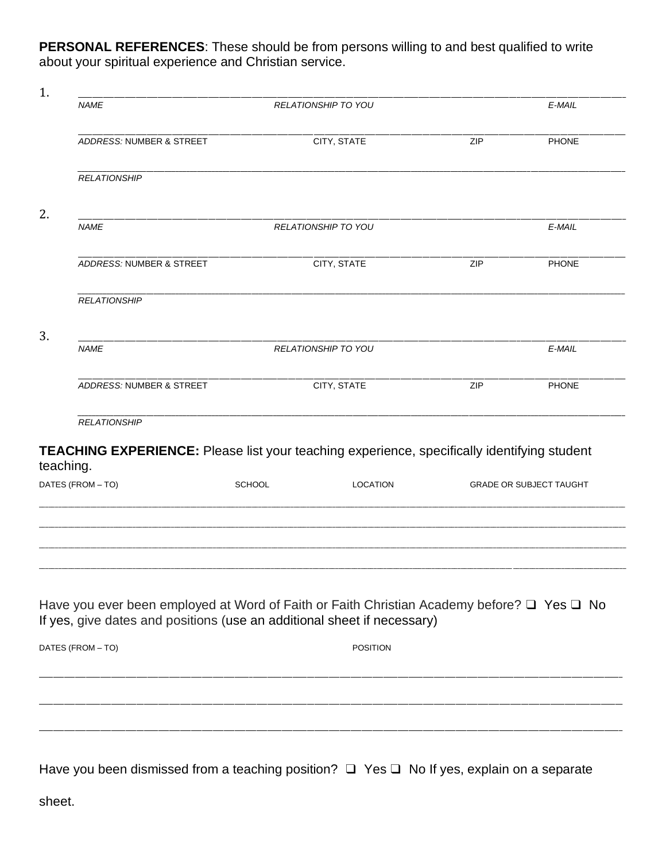**PERSONAL REFERENCES:** These should be from persons willing to and best qualified to write about your spiritual experience and Christian service.

|    | <b>NAME</b>                                                                                                                                                                     | <b>RELATIONSHIP TO YOU</b> |                 | E-MAIL                         |
|----|---------------------------------------------------------------------------------------------------------------------------------------------------------------------------------|----------------------------|-----------------|--------------------------------|
|    | ADDRESS: NUMBER & STREET                                                                                                                                                        | CITY, STATE                | ZIP             | <b>PHONE</b>                   |
|    |                                                                                                                                                                                 |                            |                 |                                |
|    | <b>RELATIONSHIP</b>                                                                                                                                                             |                            |                 |                                |
| 2. | <b>NAME</b>                                                                                                                                                                     | RELATIONSHIP TO YOU        |                 | E-MAIL                         |
|    | ADDRESS: NUMBER & STREET                                                                                                                                                        | CITY, STATE                | ZIP             | PHONE                          |
|    | <b>RELATIONSHIP</b>                                                                                                                                                             |                            |                 |                                |
|    | <b>NAME</b>                                                                                                                                                                     | <b>RELATIONSHIP TO YOU</b> |                 | E-MAIL                         |
|    | ADDRESS: NUMBER & STREET                                                                                                                                                        | CITY, STATE                | ZIP             | PHONE                          |
|    | <b>RELATIONSHIP</b>                                                                                                                                                             |                            |                 |                                |
|    | TEACHING EXPERIENCE: Please list your teaching experience, specifically identifying student<br>teaching.                                                                        |                            |                 |                                |
|    | DATES (FROM - TO)                                                                                                                                                               | <b>SCHOOL</b>              | <b>LOCATION</b> | <b>GRADE OR SUBJECT TAUGHT</b> |
|    |                                                                                                                                                                                 |                            |                 |                                |
|    | Have you ever been employed at Word of Faith or Faith Christian Academy before? $\Box$ Yes $\Box$ No<br>If yes, give dates and positions (use an additional sheet if necessary) |                            |                 |                                |
|    |                                                                                                                                                                                 |                            |                 |                                |
|    | DATES (FROM - TO)                                                                                                                                                               |                            | <b>POSITION</b> |                                |
|    |                                                                                                                                                                                 |                            |                 |                                |

Have you been dismissed from a teaching position?  $\Box$  Yes  $\Box$  No If yes, explain on a separate

sheet.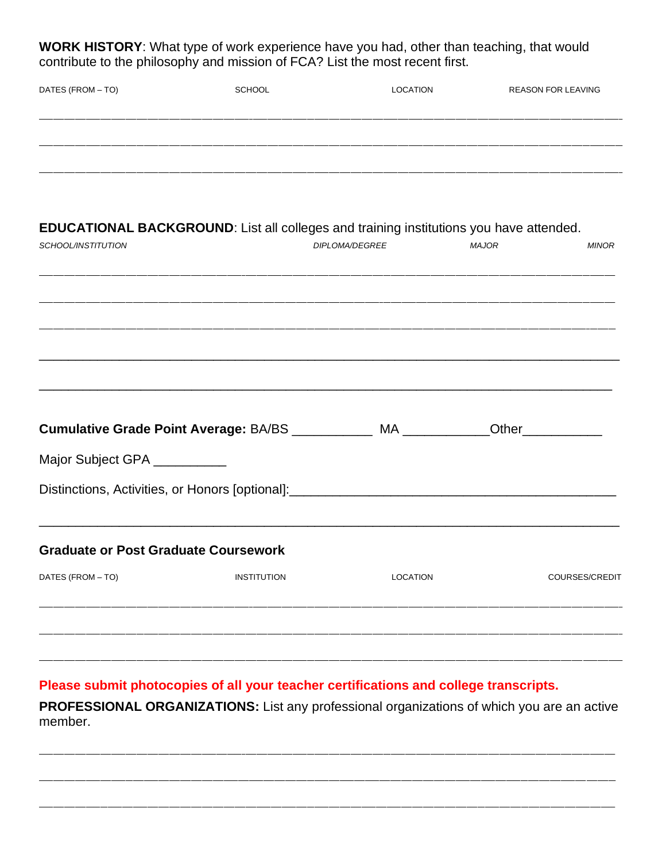WORK HISTORY: What type of work experience have you had, other than teaching, that would contribute to the philosophy and mission of FCA? List the most recent first.

| DATES (FROM - TO)                           | <b>SCHOOL</b>      | <b>LOCATION</b>                                                                               |              | <b>REASON FOR LEAVING</b> |
|---------------------------------------------|--------------------|-----------------------------------------------------------------------------------------------|--------------|---------------------------|
|                                             |                    |                                                                                               |              |                           |
|                                             |                    |                                                                                               |              |                           |
|                                             |                    | <b>EDUCATIONAL BACKGROUND:</b> List all colleges and training institutions you have attended. |              |                           |
| SCHOOL/INSTITUTION                          |                    | DIPLOMA/DEGREE                                                                                | <b>MAJOR</b> | <b>MINOR</b>              |
|                                             |                    |                                                                                               |              |                           |
|                                             |                    |                                                                                               |              |                           |
|                                             |                    |                                                                                               |              |                           |
|                                             |                    | Cumulative Grade Point Average: BA/BS ____________ MA ____________                            |              | Other____________         |
| Major Subject GPA __________                |                    |                                                                                               |              |                           |
|                                             |                    | Distinctions, Activities, or Honors [optional]:_________________________________              |              |                           |
| <b>Graduate or Post Graduate Coursework</b> |                    |                                                                                               |              |                           |
| DATES (FROM - TO)                           | <b>INSTITUTION</b> | <b>LOCATION</b>                                                                               |              | COURSES/CREDIT            |
|                                             |                    |                                                                                               |              |                           |

Please submit photocopies of all your teacher certifications and college transcripts.

PROFESSIONAL ORGANIZATIONS: List any professional organizations of which you are an active member.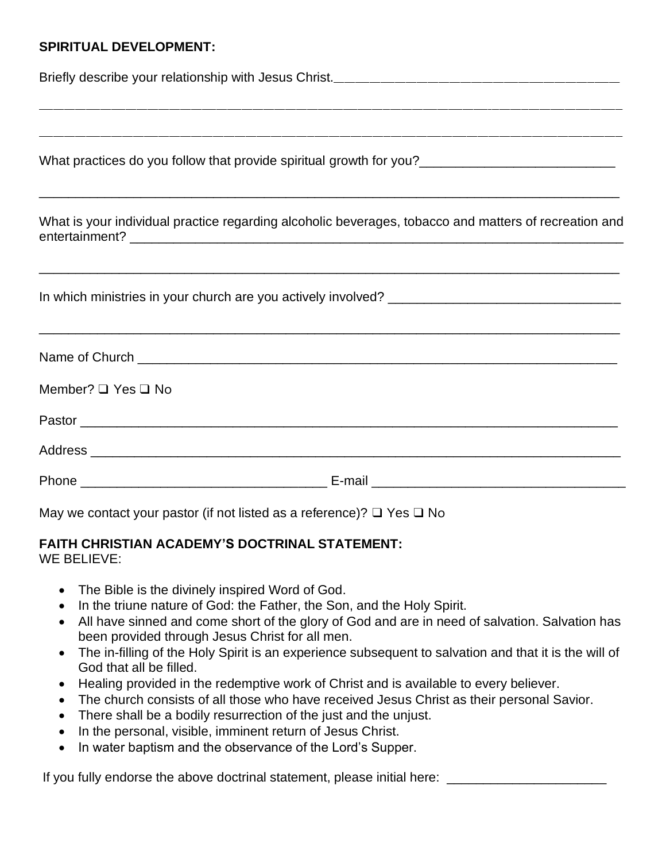### **SPIRITUAL DEVELOPMENT:**

Briefly describe your relationship with Jesus Christ.<br>

| What practices do you follow that provide spiritual growth for you?_________________________________  |  |  |  |  |
|-------------------------------------------------------------------------------------------------------|--|--|--|--|
| What is your individual practice regarding alcoholic beverages, tobacco and matters of recreation and |  |  |  |  |
|                                                                                                       |  |  |  |  |
|                                                                                                       |  |  |  |  |
| Member? $\Box$ Yes $\Box$ No                                                                          |  |  |  |  |
|                                                                                                       |  |  |  |  |
|                                                                                                       |  |  |  |  |
|                                                                                                       |  |  |  |  |

\_\_\_\_\_\_\_\_\_\_\_\_\_\_\_\_\_\_\_\_\_\_\_\_\_\_\_\_\_\_\_\_\_\_\_\_\_\_\_\_\_\_\_\_\_\_\_\_\_\_\_\_\_\_\_\_\_\_\_\_\_\_\_\_\_\_\_\_\_\_\_\_\_\_\_\_\_\_\_\_\_\_\_\_\_\_\_\_\_\_\_\_\_\_\_\_\_\_\_\_\_\_\_\_\_\_\_\_\_\_\_\_\_\_\_\_\_\_\_\_\_\_\_\_\_\_\_\_\_\_\_\_\_\_\_\_\_\_\_\_\_\_\_\_\_\_\_\_\_\_\_\_\_\_\_\_\_\_\_\_\_

May we contact your pastor (if not listed as a reference)?  $\Box$  Yes  $\Box$  No

#### **FAITH CHRISTIAN ACADEMY'S DOCTRINAL STATEMENT:** WE BELIEVE:

- The Bible is the divinely inspired Word of God.
- In the triune nature of God: the Father, the Son, and the Holy Spirit.
- All have sinned and come short of the glory of God and are in need of salvation. Salvation has been provided through Jesus Christ for all men.
- The in-filling of the Holy Spirit is an experience subsequent to salvation and that it is the will of God that all be filled.
- Healing provided in the redemptive work of Christ and is available to every believer.
- The church consists of all those who have received Jesus Christ as their personal Savior.
- There shall be a bodily resurrection of the just and the unjust.
- In the personal, visible, imminent return of Jesus Christ.
- In water baptism and the observance of the Lord's Supper.

If you fully endorse the above doctrinal statement, please initial here: \_\_\_\_\_\_\_\_\_\_\_\_\_\_\_\_\_\_\_\_\_\_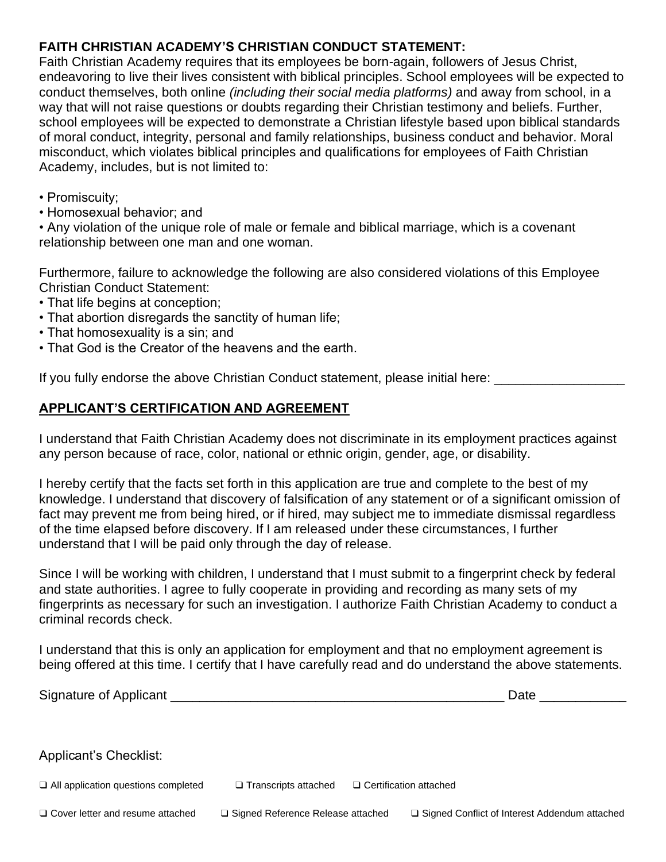### **FAITH CHRISTIAN ACADEMY'S CHRISTIAN CONDUCT STATEMENT:**

Faith Christian Academy requires that its employees be born-again, followers of Jesus Christ, endeavoring to live their lives consistent with biblical principles. School employees will be expected to conduct themselves, both online *(including their social media platforms)* and away from school, in a way that will not raise questions or doubts regarding their Christian testimony and beliefs. Further, school employees will be expected to demonstrate a Christian lifestyle based upon biblical standards of moral conduct, integrity, personal and family relationships, business conduct and behavior. Moral misconduct, which violates biblical principles and qualifications for employees of Faith Christian Academy, includes, but is not limited to:

- Promiscuity;
- Homosexual behavior; and

• Any violation of the unique role of male or female and biblical marriage, which is a covenant relationship between one man and one woman.

Furthermore, failure to acknowledge the following are also considered violations of this Employee Christian Conduct Statement:

- That life begins at conception;
- That abortion disregards the sanctity of human life;
- That homosexuality is a sin; and
- That God is the Creator of the heavens and the earth.

If you fully endorse the above Christian Conduct statement, please initial here:

#### **APPLICANT'S CERTIFICATION AND AGREEMENT**

I understand that Faith Christian Academy does not discriminate in its employment practices against any person because of race, color, national or ethnic origin, gender, age, or disability.

I hereby certify that the facts set forth in this application are true and complete to the best of my knowledge. I understand that discovery of falsification of any statement or of a significant omission of fact may prevent me from being hired, or if hired, may subject me to immediate dismissal regardless of the time elapsed before discovery. If I am released under these circumstances, I further understand that I will be paid only through the day of release.

Since I will be working with children, I understand that I must submit to a fingerprint check by federal and state authorities. I agree to fully cooperate in providing and recording as many sets of my fingerprints as necessary for such an investigation. I authorize Faith Christian Academy to conduct a criminal records check.

I understand that this is only an application for employment and that no employment agreement is being offered at this time. I certify that I have carefully read and do understand the above statements.

| Signature of Applicant                     |                                     | Date                                            |
|--------------------------------------------|-------------------------------------|-------------------------------------------------|
|                                            |                                     |                                                 |
| <b>Applicant's Checklist:</b>              |                                     |                                                 |
| $\Box$ All application questions completed | $\Box$ Transcripts attached         | □ Certification attached                        |
| □ Cover letter and resume attached         | □ Signed Reference Release attached | □ Signed Conflict of Interest Addendum attached |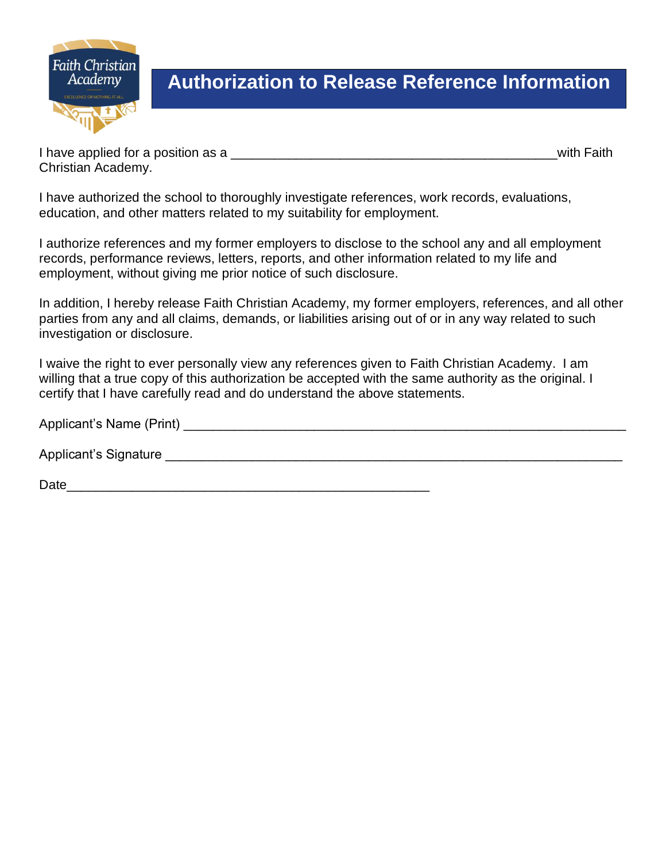

## **Authorization to Release Reference Information**

I have applied for a position as a <u>secure that</u> the set of the set of the set of the set of the set of the set of the set of the set of the set of the set of the set of the set of the set of the set of the set of the set Christian Academy.

I have authorized the school to thoroughly investigate references, work records, evaluations, education, and other matters related to my suitability for employment.

I authorize references and my former employers to disclose to the school any and all employment records, performance reviews, letters, reports, and other information related to my life and employment, without giving me prior notice of such disclosure.

In addition, I hereby release Faith Christian Academy, my former employers, references, and all other parties from any and all claims, demands, or liabilities arising out of or in any way related to such investigation or disclosure.

I waive the right to ever personally view any references given to Faith Christian Academy. I am willing that a true copy of this authorization be accepted with the same authority as the original. I certify that I have carefully read and do understand the above statements.

| Applicant's Name (Print) |  |  |
|--------------------------|--|--|
|                          |  |  |

Applicant's Signature experiment of the state of the state of the state of the state of the state of the state of the state of the state of the state of the state of the state of the state of the state of the state of the

Date\_\_\_\_\_\_\_\_\_\_\_\_\_\_\_\_\_\_\_\_\_\_\_\_\_\_\_\_\_\_\_\_\_\_\_\_\_\_\_\_\_\_\_\_\_\_\_\_\_\_